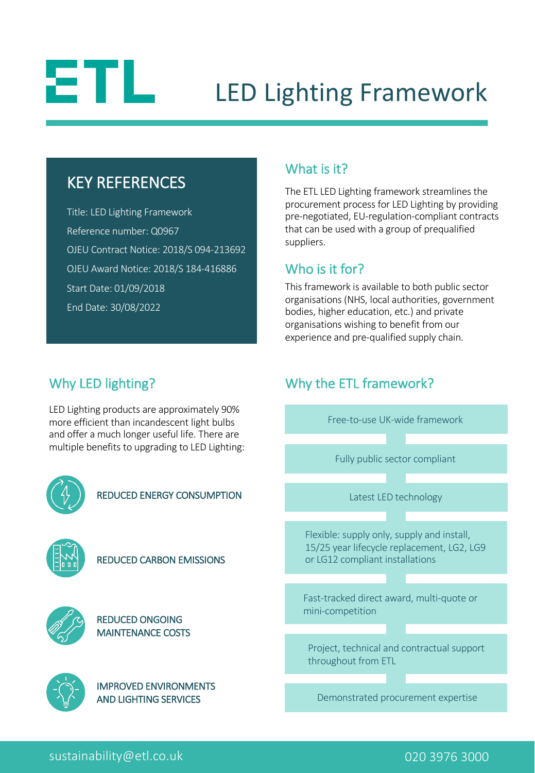# 8TL.

## LED Lighting Framework

### KEY REFERENCES

Title: LED Lighting Framework Reference number: Q0967 OJEU Contract Notice: 2018/S 094-213692 OJEU Award Notice: 2018/S 184-416886 Start Date: 01/09/2018 End Date: 30/08/2022

#### What is it?

The ETL LED Lighting framework streamlines the procurement process for LED Lighting by providing pre-negotiated, EU-regulation-compliant contracts that can be used with a group of prequalified suppliers.

#### Who is it for?

This framework is available to both public sector organisations (NHS, local authorities, government bodies, higher education, etc.) and private organisations wishing to benefit from our experience and pre-qualified supply chain.

Free-to-use UK-wide framework

Why the ETL framework?

#### Why LED lighting?

LED Lighting products are approximately 90% more efficient than incandescent light bulbs and offer a much longer useful life. There are multiple benefits to upgrading to LED Lighting:



#### sustainability@etl.co.uk 020 3976 3000